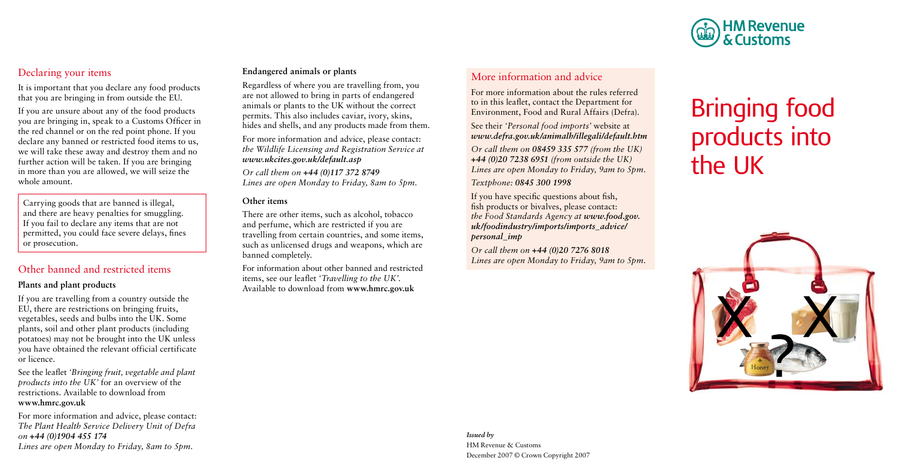

# Declaring your items

It is important that you declare any food products that you are bringing in from outside the EU.

If you are unsure about any of the food products you are bringing in, speak to a Customs Officer in the red channel or on the red point phone. If you declare any banned or restricted food items to us, we will take these away and destroy them and no further action will be taken. If you are bringing in more than you are allowed, we will seize the whole amount.

Carrying goods that are banned is illegal, and there are heavy penalties for smuggling. If you fail to declare any items that are not permitted, you could face severe delays, fines or prosecution.

# Other banned and restricted items

## **Plants and plant products**

If you are travelling from a country outside the EU, there are restrictions on bringing fruits, vegetables, seeds and bulbs into the UK. Some plants, soil and other plant products (including potatoes) may not be brought into the UK unless you have obtained the relevant official certificate or licence.

See the leaflet *'Bringing fruit, vegetable and plant products into the UK'* for an overview of the restrictions. Available to download from **www.hmrc.gov.uk**

For more information and advice, please contact: *The Plant Health Service Delivery Unit of Defra on +44 (0)1904 455 174 Lines are open Monday to Friday, 8am to 5pm.* 

## **Endangered animals or plants**

Regardless of where you are travelling from, you are not allowed to bring in parts of endangered animals or plants to the UK without the correct permits. This also includes caviar, ivory, skins, hides and shells, and any products made from them.

For more information and advice, please contact: *the Wildlife Licensing and Registration Service at www.ukcites.gov.uk/default.asp*

*Or call them on +44 (0)117 372 8749 Lines are open Monday to Friday, 8am to 5pm.*

### **Other items**

There are other items, such as alcohol, tobacco and perfume, which are restricted if you are travelling from certain countries, and some items, such as unlicensed drugs and weapons, which are banned completely.

For information about other banned and restricted items, see our leaflet *'Travelling to the UK'.* Available to download from **www.hmrc.gov.uk**

## More information and advice

For more information about the rules referred to in this leaflet, contact the Department for Environment, Food and Rural Affairs (Defra).

See their *'Personal food imports'* website at *www.defra.gov.uk/animalh/illegali/default.htm*

*Or call them on 08459 335 577 (from the UK) +44 (0)20 7238 6951 (from outside the UK) Lines are open Monday to Friday, 9am to 5pm.*

*Textphone: 0845 300 1998*

If you have specific questions about fish, fish products or bivalves, please contact: *the Food Standards Agency at www.food.gov. uk/foodindustry/imports/imports\_advice/ personal\_imp*

*Or call them on +44 (0)20 7276 8018 Lines are open Monday to Friday, 9am to 5pm.*

# products into<br>the LIK Bringing food products into the UK



*Issued by*  HM Revenue & Customs December 2007 © Crown Copyright 2007